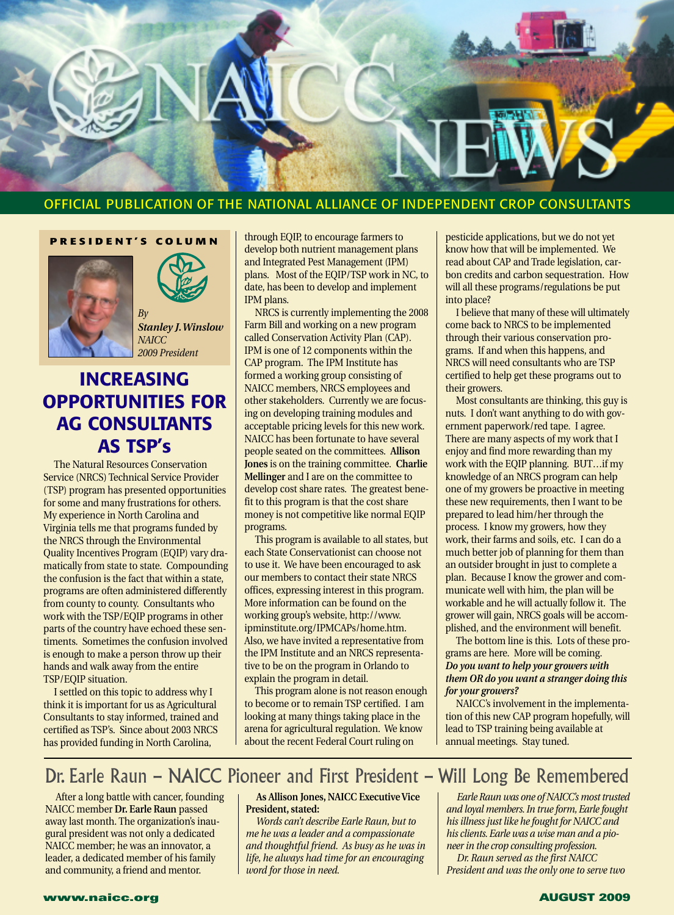

### OFFICIAL PUBLICATION OF THE NATIONAL ALLIANCE OF INDEPENDENT CROP CONSULTANTS

**PRESIDENT'S COLUMN**

 $Bv$ 





*Stanley J.Winslow NAICC 2009 President*

### **INCREASING OPPORTUNITIES FOR AG CONSULTANTS AS TSP's**

The Natural Resources Conservation Service (NRCS) Technical Service Provider (TSP) program has presented opportunities for some and many frustrations for others. My experience in North Carolina and Virginia tells me that programs funded by the NRCS through the Environmental Quality Incentives Program (EQIP) vary dramatically from state to state. Compounding the confusion is the fact that within a state, programs are often administered differently from county to county. Consultants who work with the TSP/EQIP programs in other parts of the country have echoed these sentiments. Sometimes the confusion involved is enough to make a person throw up their hands and walk away from the entire TSP/EQIP situation.

I settled on this topic to address why I think it is important for us as Agricultural Consultants to stay informed, trained and certified as TSP's. Since about 2003 NRCS has provided funding in North Carolina,

through EQIP, to encourage farmers to develop both nutrient management plans and Integrated Pest Management (IPM) plans. Most of the EQIP/TSP work in NC, to date, has been to develop and implement IPM plans.

NRCS is currently implementing the 2008 Farm Bill and working on a new program called Conservation Activity Plan (CAP). IPM is one of 12 components within the CAP program. The IPM Institute has formed a working group consisting of NAICC members, NRCS employees and other stakeholders. Currently we are focusing on developing training modules and acceptable pricing levels for this new work. NAICC has been fortunate to have several people seated on the committees. **Allison Jones** is on the training committee. **Charlie Mellinger** and I are on the committee to develop cost share rates. The greatest benefit to this program is that the cost share money is not competitive like normal EQIP programs.

This program is available to all states, but each State Conservationist can choose not to use it. We have been encouraged to ask our members to contact their state NRCS offices, expressing interest in this program. More information can be found on the working group's website, http://www. ipminstitute.org/IPMCAPs/home.htm. Also, we have invited a representative from the IPM Institute and an NRCS representative to be on the program in Orlando to explain the program in detail.

This program alone is not reason enough to become or to remain TSP certified. I am looking at many things taking place in the arena for agricultural regulation. We know about the recent Federal Court ruling on

pesticide applications, but we do not yet know how that will be implemented. We read about CAP and Trade legislation, carbon credits and carbon sequestration. How will all these programs/regulations be put into place?

I believe that many of these will ultimately come back to NRCS to be implemented through their various conservation programs. If and when this happens, and NRCS will need consultants who are TSP certified to help get these programs out to their growers.

Most consultants are thinking, this guy is nuts. I don't want anything to do with government paperwork/red tape. I agree. There are many aspects of my work that I enjoy and find more rewarding than my work with the EQIP planning. BUT…if my knowledge of an NRCS program can help one of my growers be proactive in meeting these new requirements, then I want to be prepared to lead him/her through the process. I know my growers, how they work, their farms and soils, etc. I can do a much better job of planning for them than an outsider brought in just to complete a plan. Because I know the grower and communicate well with him, the plan will be workable and he will actually follow it. The grower will gain, NRCS goals will be accomplished, and the environment will benefit.

The bottom line is this. Lots of these programs are here. More will be coming. *Do you want to help your growers with them OR do you want a stranger doing this for your growers?*

NAICC's involvement in the implementation of this new CAP program hopefully, will lead to TSP training being available at annual meetings. Stay tuned.

## Dr. Earle Raun – NAICC Pioneer and First President – Will Long Be Remembered

After a long battle with cancer, founding NAICC member **Dr. Earle Raun** passed away last month. The organization's inaugural president was not only a dedicated NAICC member; he was an innovator, a leader, a dedicated member of his family and community, a friend and mentor.

### **As Allison Jones, NAICC Executive Vice President, stated:**

*Words can't describe Earle Raun, but to me he was a leader and a compassionate and thoughtful friend. As busy as he was in life, he always had time for an encouraging word for those in need.*

#### *Earle Raun was one of NAICC's most trusted and loyal members. In true form, Earle fought his illness just like he fought for NAICC and his clients. Earle was a wise man and a pioneer in the crop consulting profession. Dr. Raun served as the first NAICC*

*President and was the only one to serve two*

### **www.naicc.org AUGUST 2009**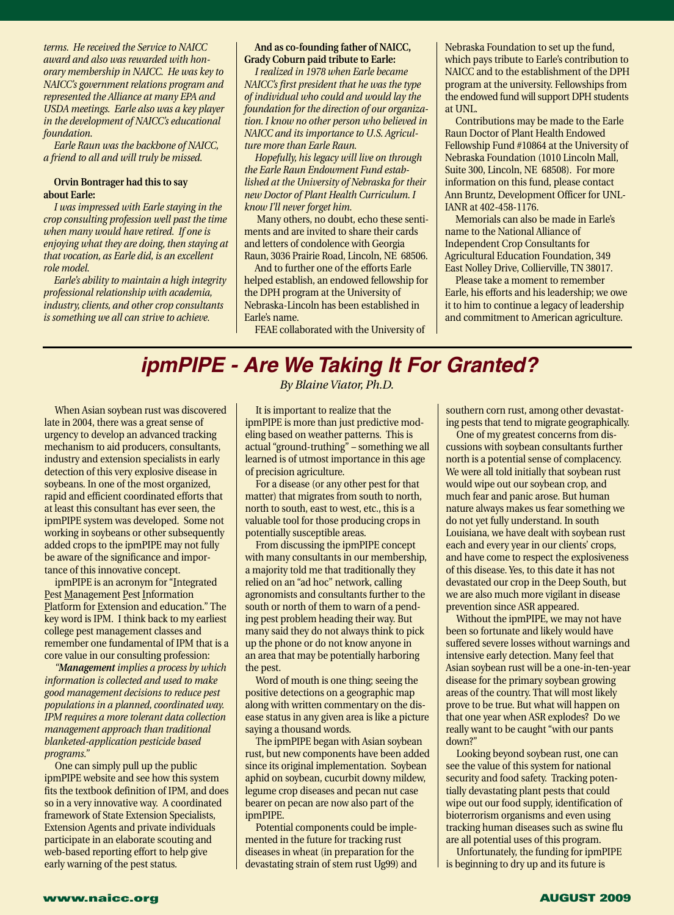*terms. He received the Service to NAICC award and also was rewarded with honorary membership in NAICC. He was key to NAICC's government relations program and represented the Alliance at many EPA and USDA meetings. Earle also was a key player in the development of NAICC's educational foundation.*

*Earle Raun was the backbone of NAICC, a friend to all and will truly be missed.*

#### **Orvin Bontrager had this to say about Earle:**

*I was impressed with Earle staying in the crop consulting profession well past the time when many would have retired. If one is enjoying what they are doing, then staying at that vocation, as Earle did, is an excellent role model.*

*Earle's ability to maintain a high integrity professional relationship with academia, industry, clients, and other crop consultants is something we all can strive to achieve.*

#### **And as co-founding father of NAICC, Grady Coburn paid tribute to Earle:**

*I realized in 1978 when Earle became NAICC's first president that he was the type of individual who could and would lay the foundation for the direction of our organization. I know no other person who believed in NAICC and its importance to U.S. Agriculture more than Earle Raun.*

*Hopefully, his legacy will live on through the Earle Raun Endowment Fund established at the University of Nebraska for their new Doctor of Plant Health Curriculum. I know I'll never forget him.*

Many others, no doubt, echo these sentiments and are invited to share their cards and letters of condolence with Georgia Raun, 3036 Prairie Road, Lincoln, NE 68506.

And to further one of the efforts Earle helped establish, an endowed fellowship for the DPH program at the University of Nebraska-Lincoln has been established in Earle's name.

FEAE collaborated with the University of

Nebraska Foundation to set up the fund, which pays tribute to Earle's contribution to NAICC and to the establishment of the DPH program at the university. Fellowships from the endowed fund will support DPH students at UNL.

Contributions may be made to the Earle Raun Doctor of Plant Health Endowed Fellowship Fund #10864 at the University of Nebraska Foundation (1010 Lincoln Mall, Suite 300, Lincoln, NE 68508). For more information on this fund, please contact Ann Bruntz, Development Officer for UNL-IANR at 402-458-1176.

Memorials can also be made in Earle's name to the National Alliance of Independent Crop Consultants for Agricultural Education Foundation, 349 East Nolley Drive, Collierville, TN 38017.

Please take a moment to remember Earle, his efforts and his leadership; we owe it to him to continue a legacy of leadership and commitment to American agriculture.

# **ipmPIPE - Are We Taking It For Granted?**

When Asian soybean rust was discovered late in 2004, there was a great sense of urgency to develop an advanced tracking mechanism to aid producers, consultants, industry and extension specialists in early detection of this very explosive disease in soybeans. In one of the most organized, rapid and efficient coordinated efforts that at least this consultant has ever seen, the ipmPIPE system was developed. Some not working in soybeans or other subsequently added crops to the ipmPIPE may not fully be aware of the significance and importance of this innovative concept.

ipmPIPE is an acronym for "Integrated Pest Management Pest Information Platform for Extension and education." The key word is IPM. I think back to my earliest college pest management classes and remember one fundamental of IPM that is a core value in our consulting profession:

*"Management implies a process by which information is collected and used to make good management decisions to reduce pest populations in a planned, coordinated way. IPM requires a more tolerant data collection management approach than traditional blanketed-application pesticide based programs."*

One can simply pull up the public ipmPIPE website and see how this system fits the textbook definition of IPM, and does so in a very innovative way. A coordinated framework of State Extension Specialists, Extension Agents and private individuals participate in an elaborate scouting and web-based reporting effort to help give early warning of the pest status.

*By Blaine Viator, Ph.D.*

It is important to realize that the ipmPIPE is more than just predictive modeling based on weather patterns. This is actual "ground-truthing" – something we all learned is of utmost importance in this age of precision agriculture.

For a disease (or any other pest for that matter) that migrates from south to north, north to south, east to west, etc., this is a valuable tool for those producing crops in potentially susceptible areas.

From discussing the ipmPIPE concept with many consultants in our membership, a majority told me that traditionally they relied on an "ad hoc" network, calling agronomists and consultants further to the south or north of them to warn of a pending pest problem heading their way. But many said they do not always think to pick up the phone or do not know anyone in an area that may be potentially harboring the pest.

Word of mouth is one thing; seeing the positive detections on a geographic map along with written commentary on the disease status in any given area is like a picture saying a thousand words.

The ipmPIPE began with Asian soybean rust, but new components have been added since its original implementation. Soybean aphid on soybean, cucurbit downy mildew, legume crop diseases and pecan nut case bearer on pecan are now also part of the ipmPIPE.

Potential components could be implemented in the future for tracking rust diseases in wheat (in preparation for the devastating strain of stem rust Ug99) and

southern corn rust, among other devastating pests that tend to migrate geographically.

One of my greatest concerns from discussions with soybean consultants further north is a potential sense of complacency. We were all told initially that soybean rust would wipe out our soybean crop, and much fear and panic arose. But human nature always makes us fear something we do not yet fully understand. In south Louisiana, we have dealt with soybean rust each and every year in our clients' crops, and have come to respect the explosiveness of this disease. Yes, to this date it has not devastated our crop in the Deep South, but we are also much more vigilant in disease prevention since ASR appeared.

Without the ipmPIPE, we may not have been so fortunate and likely would have suffered severe losses without warnings and intensive early detection. Many feel that Asian soybean rust will be a one-in-ten-year disease for the primary soybean growing areas of the country. That will most likely prove to be true. But what will happen on that one year when ASR explodes? Do we really want to be caught "with our pants down?"

Looking beyond soybean rust, one can see the value of this system for national security and food safety. Tracking potentially devastating plant pests that could wipe out our food supply, identification of bioterrorism organisms and even using tracking human diseases such as swine flu are all potential uses of this program.

Unfortunately, the funding for ipmPIPE is beginning to dry up and its future is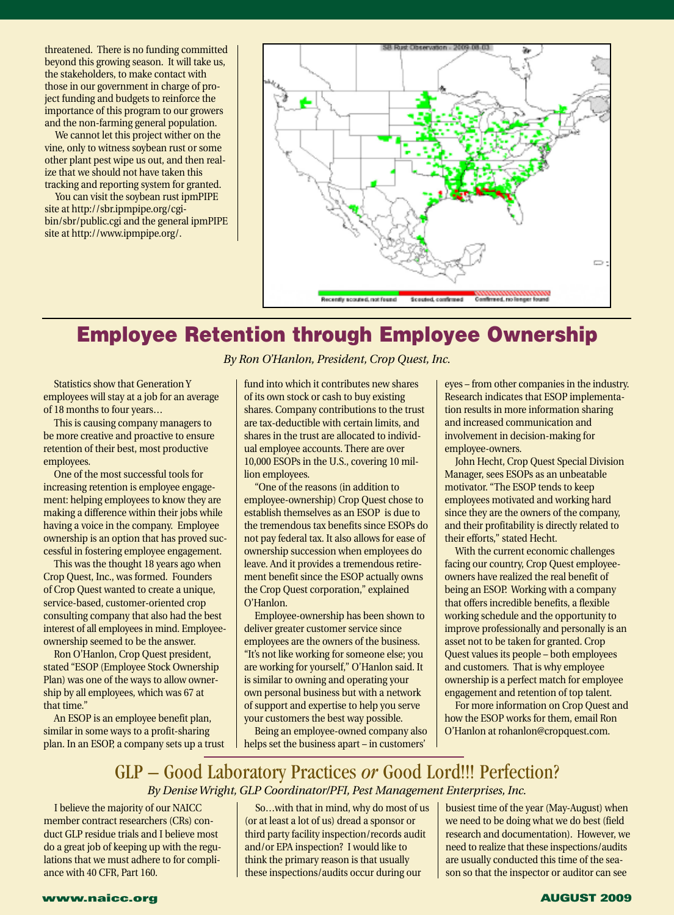threatened. There is no funding committed beyond this growing season. It will take us, the stakeholders, to make contact with those in our government in charge of project funding and budgets to reinforce the importance of this program to our growers and the non-farming general population.

We cannot let this project wither on the vine, only to witness soybean rust or some other plant pest wipe us out, and then realize that we should not have taken this tracking and reporting system for granted.

You can visit the soybean rust ipmPIPE site at http://sbr.ipmpipe.org/cgibin/sbr/public.cgi and the general ipmPIPE site at http://www.ipmpipe.org/.



## **Employee Retention through Employee Ownership**

Statistics show that Generation Y employees will stay at a job for an average of 18 months to four years…

This is causing company managers to be more creative and proactive to ensure retention of their best, most productive employees.

One of the most successful tools for increasing retention is employee engagement: helping employees to know they are making a difference within their jobs while having a voice in the company. Employee ownership is an option that has proved successful in fostering employee engagement.

This was the thought 18 years ago when Crop Quest, Inc., was formed. Founders of Crop Quest wanted to create a unique, service-based, customer-oriented crop consulting company that also had the best interest of all employees in mind. Employeeownership seemed to be the answer.

Ron O'Hanlon, Crop Quest president, stated "ESOP (Employee Stock Ownership Plan) was one of the ways to allow ownership by all employees, which was 67 at that time."

An ESOP is an employee benefit plan, similar in some ways to a profit-sharing plan. In an ESOP, a company sets up a trust

### *By Ron O'Hanlon, President, Crop Quest, Inc.*

fund into which it contributes new shares of its own stock or cash to buy existing shares. Company contributions to the trust are tax-deductible with certain limits, and shares in the trust are allocated to individual employee accounts. There are over 10,000 ESOPs in the U.S., covering 10 million employees.

"One of the reasons (in addition to employee-ownership) Crop Quest chose to establish themselves as an ESOP is due to the tremendous tax benefits since ESOPs do not pay federal tax. It also allows for ease of ownership succession when employees do leave. And it provides a tremendous retirement benefit since the ESOP actually owns the Crop Quest corporation," explained O'Hanlon.

Employee-ownership has been shown to deliver greater customer service since employees are the owners of the business. "It's not like working for someone else; you are working for yourself," O'Hanlon said. It is similar to owning and operating your own personal business but with a network of support and expertise to help you serve your customers the best way possible.

Being an employee-owned company also helps set the business apart – in customers'

eyes – from other companies in the industry. Research indicates that ESOP implementation results in more information sharing and increased communication and involvement in decision-making for employee-owners.

John Hecht, Crop Quest Special Division Manager, sees ESOPs as an unbeatable motivator. "The ESOP tends to keep employees motivated and working hard since they are the owners of the company, and their profitability is directly related to their efforts," stated Hecht.

With the current economic challenges facing our country, Crop Quest employeeowners have realized the real benefit of being an ESOP. Working with a company that offers incredible benefits, a flexible working schedule and the opportunity to improve professionally and personally is an asset not to be taken for granted. Crop Quest values its people – both employees and customers. That is why employee ownership is a perfect match for employee engagement and retention of top talent.

For more information on Crop Quest and how the ESOP works for them, email Ron O'Hanlon at rohanlon@cropquest.com.

### GLP – Good Laboratory Practices *or* Good Lord!!! Perfection? *By Denise Wright, GLP Coordinator/PFI, Pest Management Enterprises, Inc.*

I believe the majority of our NAICC member contract researchers (CRs) conduct GLP residue trials and I believe most do a great job of keeping up with the regulations that we must adhere to for compliance with 40 CFR, Part 160.

So…with that in mind, why do most of us (or at least a lot of us) dread a sponsor or third party facility inspection/records audit and/or EPA inspection? I would like to think the primary reason is that usually these inspections/audits occur during our

busiest time of the year (May-August) when we need to be doing what we do best (field research and documentation). However, we need to realize that these inspections/audits are usually conducted this time of the season so that the inspector or auditor can see

### **www.naicc.org AUGUST 2009**